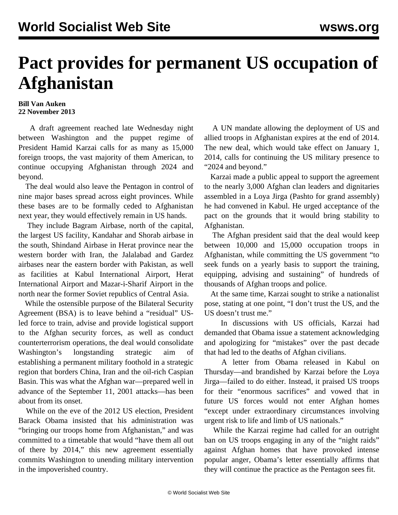## **Pact provides for permanent US occupation of Afghanistan**

## **Bill Van Auken 22 November 2013**

 A draft agreement reached late Wednesday night between Washington and the puppet regime of President Hamid Karzai calls for as many as 15,000 foreign troops, the vast majority of them American, to continue occupying Afghanistan through 2024 and beyond.

 The deal would also leave the Pentagon in control of nine major bases spread across eight provinces. While these bases are to be formally ceded to Afghanistan next year, they would effectively remain in US hands.

 They include Bagram Airbase, north of the capital, the largest US facility, Kandahar and Shorab airbase in the south, Shindand Airbase in Herat province near the western border with Iran, the Jalalabad and Gardez airbases near the eastern border with Pakistan, as well as facilities at Kabul International Airport, Herat International Airport and Mazar-i-Sharif Airport in the north near the former Soviet republics of Central Asia.

 While the ostensible purpose of the Bilateral Security Agreement (BSA) is to leave behind a "residual" USled force to train, advise and provide logistical support to the Afghan security forces, as well as conduct counterterrorism operations, the deal would consolidate Washington's longstanding strategic aim of establishing a permanent military foothold in a strategic region that borders China, Iran and the oil-rich Caspian Basin. This was what the Afghan war—prepared well in advance of the September 11, 2001 attacks—has been about from its onset.

 While on the eve of the 2012 US election, President Barack Obama insisted that his administration was "bringing our troops home from Afghanistan," and was committed to a timetable that would "have them all out of there by 2014," this new agreement essentially commits Washington to unending military intervention in the impoverished country.

 A UN mandate allowing the deployment of US and allied troops in Afghanistan expires at the end of 2014. The new deal, which would take effect on January 1, 2014, calls for continuing the US military presence to "2024 and beyond."

 Karzai made a public appeal to support the agreement to the nearly 3,000 Afghan clan leaders and dignitaries assembled in a Loya Jirga (Pashto for grand assembly) he had convened in Kabul. He urged acceptance of the pact on the grounds that it would bring stability to Afghanistan.

 The Afghan president said that the deal would keep between 10,000 and 15,000 occupation troops in Afghanistan, while committing the US government "to seek funds on a yearly basis to support the training, equipping, advising and sustaining" of hundreds of thousands of Afghan troops and police.

 At the same time, Karzai sought to strike a nationalist pose, stating at one point, "I don't trust the US, and the US doesn't trust me."

 In discussions with US officials, Karzai had demanded that Obama issue a statement acknowledging and apologizing for "mistakes" over the past decade that had led to the deaths of Afghan civilians.

 A letter from Obama released in Kabul on Thursday—and brandished by Karzai before the Loya Jirga—failed to do either. Instead, it praised US troops for their "enormous sacrifices" and vowed that in future US forces would not enter Afghan homes "except under extraordinary circumstances involving urgent risk to life and limb of US nationals."

 While the Karzai regime had called for an outright ban on US troops engaging in any of the "night raids" against Afghan homes that have provoked intense popular anger, Obama's letter essentially affirms that they will continue the practice as the Pentagon sees fit.